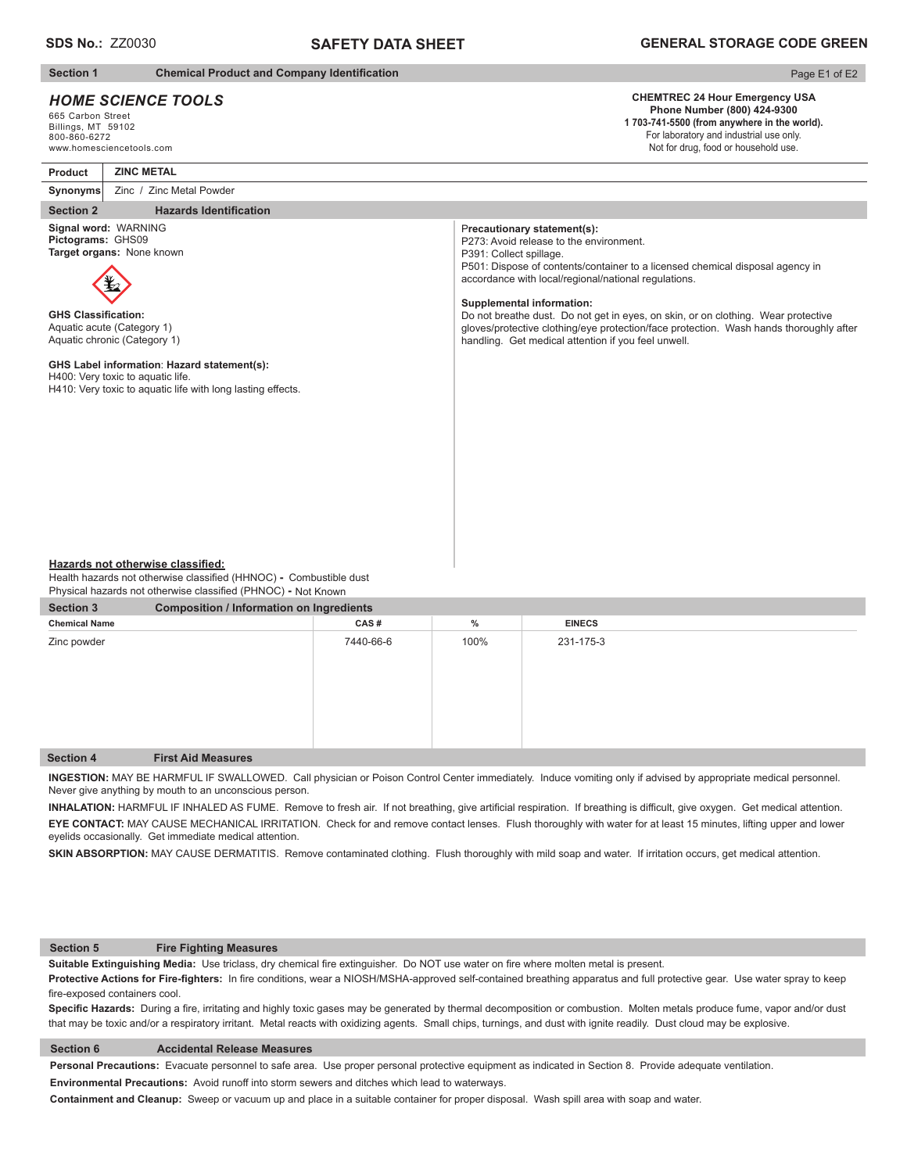# **SAFETY DATA SHEET**

## **Section 1** Chemical Product and Company Identification

# *HOME SCIENCE TOOLS*

665 Carbon Street Billings, MT 59102 800-860-6272 www.homesciencetools.com

# Page E1 of E2

# **CHEMTREC 24 Hour Emergency USA Phone Number (800) 424-9300**

**1 703-741-5500 (from anywhere in the world).** For laboratory and industrial use only. Not for drug, food or household use.

**Product Synonyms ZINC METAL**  Zinc / Zinc Metal Powder

## **Section 2** Hazards Identification

**Signal word:** WARNING **Pictograms:** GHS09 **Target organs:** None known



**GHS Classification:** Aquatic acute (Category 1) Aquatic chronic (Category 1)

### **GHS Label information**: **Hazard statement(s):**  H400: Very toxic to aquatic life.

H410: Very toxic to aquatic life with long lasting effects.

#### P**recautionary statement(s):**

P273: Avoid release to the environment. P391: Collect spillage. P501: Dispose of contents/container to a licensed chemical disposal agency in accordance with local/regional/national regulations.

#### **Supplemental information:**

Do not breathe dust. Do not get in eyes, on skin, or on clothing. Wear protective gloves/protective clothing/eye protection/face protection. Wash hands thoroughly after handling. Get medical attention if you feel unwell.

#### **Hazards not otherwise classified:**

Health hazards not otherwise classified (HHNOC) - Combustible dust Physical hazards not otherwise classified (PHNOC) **-** Not Known

| <b>Section 3</b>     | <b>Composition / Information on Ingredients</b> |           |      |               |  |  |
|----------------------|-------------------------------------------------|-----------|------|---------------|--|--|
| <b>Chemical Name</b> |                                                 | CAS#      | $\%$ | <b>EINECS</b> |  |  |
| Zinc powder          |                                                 | 7440-66-6 | 100% | 231-175-3     |  |  |
| <b>Section 4</b>     | <b>First Aid Measures</b>                       |           |      |               |  |  |

**INGESTION:** MAY BE HARMFUL IF SWALLOWED. Call physician or Poison Control Center immediately. Induce vomiting only if advised by appropriate medical personnel. Never give anything by mouth to an unconscious person.

INHALATION: HARMFUL IF INHALED AS FUME. Remove to fresh air. If not breathing, give artificial respiration. If breathing is difficult, give oxygen. Get medical attention. **EYE CONTACT:** MAY CAUSE MECHANICAL IRRITATION. Check for and remove contact lenses. Flush thoroughly with water for at least 15 minutes, lifting upper and lower

#### **Section 5 Fire Fighting Measures**

Suitable Extinguishing Media: Use triclass, dry chemical fire extinguisher. Do NOT use water on fire where molten metal is present.

Protective Actions for Fire-fighters: In fire conditions, wear a NIOSH/MSHA-approved self-contained breathing apparatus and full protective gear. Use water spray to keep fire-exposed containers cool.

Specific Hazards: During a fire, irritating and highly toxic gases may be generated by thermal decomposition or combustion. Molten metals produce fume, vapor and/or dust that may be toxic and/or a respiratory irritant. Metal reacts with oxidizing agents. Small chips, turnings, and dust with ignite readily. Dust cloud may be explosive.

#### **Section 6 Accidental Release Measures**

**Personal Precautions:** Evacuate personnel to safe area. Use proper personal protective equipment as indicated in Section 8. Provide adequate ventilation.

**Environmental Precautions:** Avoid runoff into storm sewers and ditches which lead to waterways.

**Containment and Cleanup:** Sweep or vacuum up and place in a suitable container for proper disposal. Wash spill area with soap and water.

eyelids occasionally. Get immediate medical attention.

SKIN ABSORPTION: MAY CAUSE DERMATITIS. Remove contaminated clothing. Flush thoroughly with mild soap and water. If irritation occurs, get medical attention.